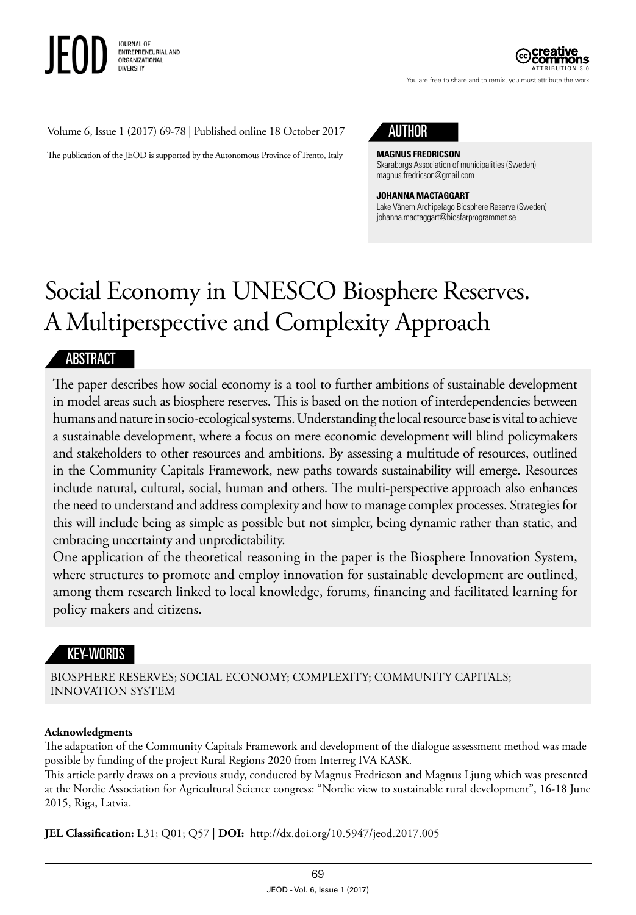

ATTRIBUTION 3.0

You are free to share and to remix, you must attribute the work

#### Volume 6, Issue 1 (2017) 69-78 | Published online 18 October 2017

The publication of the JEOD is supported by the Autonomous Province of Trento, Italy



#### **MAGNUS FREDRICSON**

Skaraborgs Association of municipalities (Sweden) magnus.fredricson@gmail.com

**JOHANNA MACTAGGART** Lake Vänern Archipelago Biosphere Reserve (Sweden) johanna.mactaggart@biosfarprogrammet.se

# Social Economy in UNESCO Biosphere Reserves. A Multiperspective and Complexity Approach

#### ABSTRACT

The paper describes how social economy is a tool to further ambitions of sustainable development in model areas such as biosphere reserves. This is based on the notion of interdependencies between humans and nature in socio-ecological systems. Understanding the local resource base is vital to achieve a sustainable development, where a focus on mere economic development will blind policymakers and stakeholders to other resources and ambitions. By assessing a multitude of resources, outlined in the Community Capitals Framework, new paths towards sustainability will emerge. Resources include natural, cultural, social, human and others. The multi-perspective approach also enhances the need to understand and address complexity and how to manage complex processes. Strategies for this will include being as simple as possible but not simpler, being dynamic rather than static, and embracing uncertainty and unpredictability.

One application of the theoretical reasoning in the paper is the Biosphere Innovation System, where structures to promote and employ innovation for sustainable development are outlined, among them research linked to local knowledge, forums, financing and facilitated learning for policy makers and citizens.

## KEY-WORDS

BIOSPHERE RESERVES; SOCIAL ECONOMY; COMPLEXITY; COMMUNITY CAPITALS; INNOVATION SYSTEM

#### **Acknowledgments**

The adaptation of the Community Capitals Framework and development of the dialogue assessment method was made possible by funding of the project Rural Regions 2020 from Interreg IVA KASK.

This article partly draws on a previous study, conducted by Magnus Fredricson and Magnus Ljung which was presented at the Nordic Association for Agricultural Science congress: "Nordic view to sustainable rural development", 16-18 June 2015, Riga, Latvia.

**JEL Classification:** L31; Q01; Q57 | **DOI:** http://dx.doi.org/10.5947/jeod.2017.005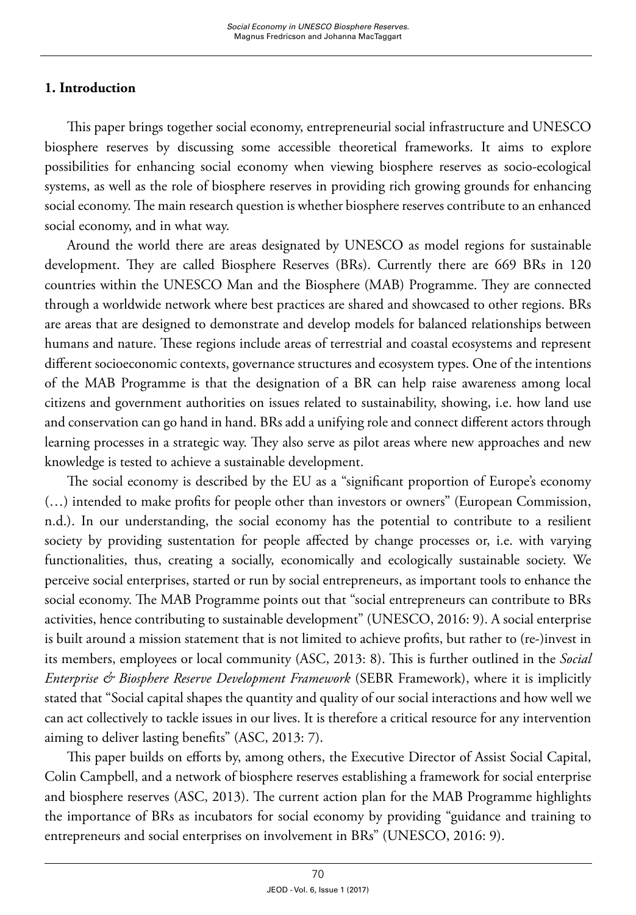## **1. Introduction**

This paper brings together social economy, entrepreneurial social infrastructure and UNESCO biosphere reserves by discussing some accessible theoretical frameworks. It aims to explore possibilities for enhancing social economy when viewing biosphere reserves as socio-ecological systems, as well as the role of biosphere reserves in providing rich growing grounds for enhancing social economy. The main research question is whether biosphere reserves contribute to an enhanced social economy, and in what way.

Around the world there are areas designated by UNESCO as model regions for sustainable development. They are called Biosphere Reserves (BRs). Currently there are 669 BRs in 120 countries within the UNESCO Man and the Biosphere (MAB) Programme. They are connected through a worldwide network where best practices are shared and showcased to other regions. BRs are areas that are designed to demonstrate and develop models for balanced relationships between humans and nature. These regions include areas of terrestrial and coastal ecosystems and represent different socioeconomic contexts, governance structures and ecosystem types. One of the intentions of the MAB Programme is that the designation of a BR can help raise awareness among local citizens and government authorities on issues related to sustainability, showing, i.e. how land use and conservation can go hand in hand. BRs add a unifying role and connect different actors through learning processes in a strategic way. They also serve as pilot areas where new approaches and new knowledge is tested to achieve a sustainable development.

The social economy is described by the EU as a "significant proportion of Europe's economy (…) intended to make profits for people other than investors or owners" (European Commission, n.d.). In our understanding, the social economy has the potential to contribute to a resilient society by providing sustentation for people affected by change processes or, i.e. with varying functionalities, thus, creating a socially, economically and ecologically sustainable society. We perceive social enterprises, started or run by social entrepreneurs, as important tools to enhance the social economy. The MAB Programme points out that "social entrepreneurs can contribute to BRs activities, hence contributing to sustainable development" (UNESCO, 2016: 9). A social enterprise is built around a mission statement that is not limited to achieve profits, but rather to (re-)invest in its members, employees or local community (ASC, 2013: 8). This is further outlined in the *Social Enterprise & Biosphere Reserve Development Framework* (SEBR Framework), where it is implicitly stated that "Social capital shapes the quantity and quality of our social interactions and how well we can act collectively to tackle issues in our lives. It is therefore a critical resource for any intervention aiming to deliver lasting benefits" (ASC, 2013: 7).

This paper builds on efforts by, among others, the Executive Director of Assist Social Capital, Colin Campbell, and a network of biosphere reserves establishing a framework for social enterprise and biosphere reserves (ASC, 2013). The current action plan for the MAB Programme highlights the importance of BRs as incubators for social economy by providing "guidance and training to entrepreneurs and social enterprises on involvement in BRs" (UNESCO, 2016: 9).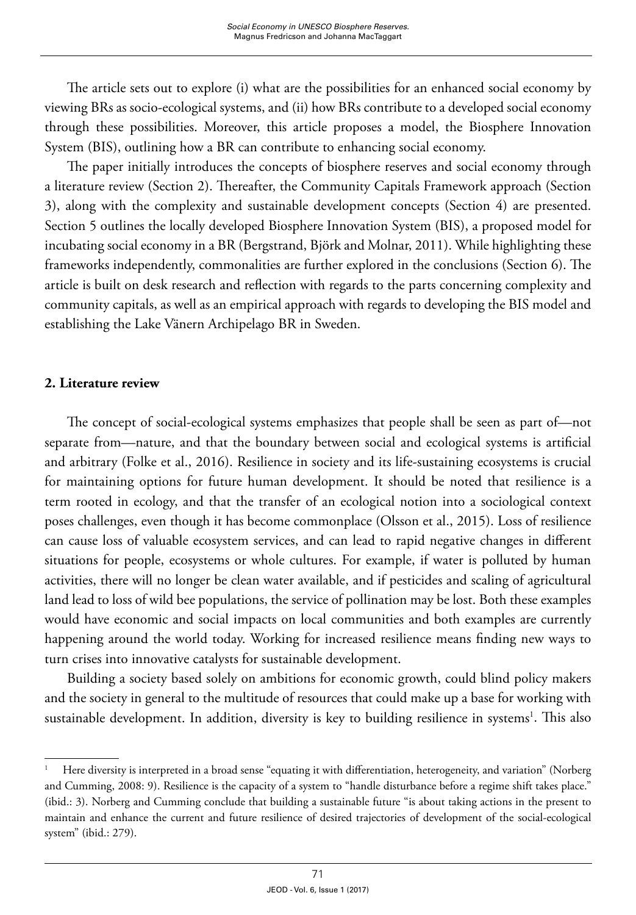The article sets out to explore (i) what are the possibilities for an enhanced social economy by viewing BRs as socio-ecological systems, and (ii) how BRs contribute to a developed social economy through these possibilities. Moreover, this article proposes a model, the Biosphere Innovation System (BIS), outlining how a BR can contribute to enhancing social economy.

The paper initially introduces the concepts of biosphere reserves and social economy through a literature review (Section 2). Thereafter, the Community Capitals Framework approach (Section 3), along with the complexity and sustainable development concepts (Section 4) are presented. Section 5 outlines the locally developed Biosphere Innovation System (BIS), a proposed model for incubating social economy in a BR (Bergstrand, Björk and Molnar, 2011). While highlighting these frameworks independently, commonalities are further explored in the conclusions (Section 6). The article is built on desk research and reflection with regards to the parts concerning complexity and community capitals, as well as an empirical approach with regards to developing the BIS model and establishing the Lake Vänern Archipelago BR in Sweden.

#### **2. Literature review**

The concept of social-ecological systems emphasizes that people shall be seen as part of—not separate from—nature, and that the boundary between social and ecological systems is artificial and arbitrary (Folke et al., 2016). Resilience in society and its life-sustaining ecosystems is crucial for maintaining options for future human development. It should be noted that resilience is a term rooted in ecology, and that the transfer of an ecological notion into a sociological context poses challenges, even though it has become commonplace (Olsson et al., 2015). Loss of resilience can cause loss of valuable ecosystem services, and can lead to rapid negative changes in different situations for people, ecosystems or whole cultures. For example, if water is polluted by human activities, there will no longer be clean water available, and if pesticides and scaling of agricultural land lead to loss of wild bee populations, the service of pollination may be lost. Both these examples would have economic and social impacts on local communities and both examples are currently happening around the world today. Working for increased resilience means finding new ways to turn crises into innovative catalysts for sustainable development.

Building a society based solely on ambitions for economic growth, could blind policy makers and the society in general to the multitude of resources that could make up a base for working with sustainable development. In addition, diversity is key to building resilience in systems<sup>1</sup>. This also

<sup>1</sup> Here diversity is interpreted in a broad sense "equating it with differentiation, heterogeneity, and variation" (Norberg and Cumming, 2008: 9). Resilience is the capacity of a system to "handle disturbance before a regime shift takes place." (ibid.: 3). Norberg and Cumming conclude that building a sustainable future "is about taking actions in the present to maintain and enhance the current and future resilience of desired trajectories of development of the social-ecological system" (ibid.: 279).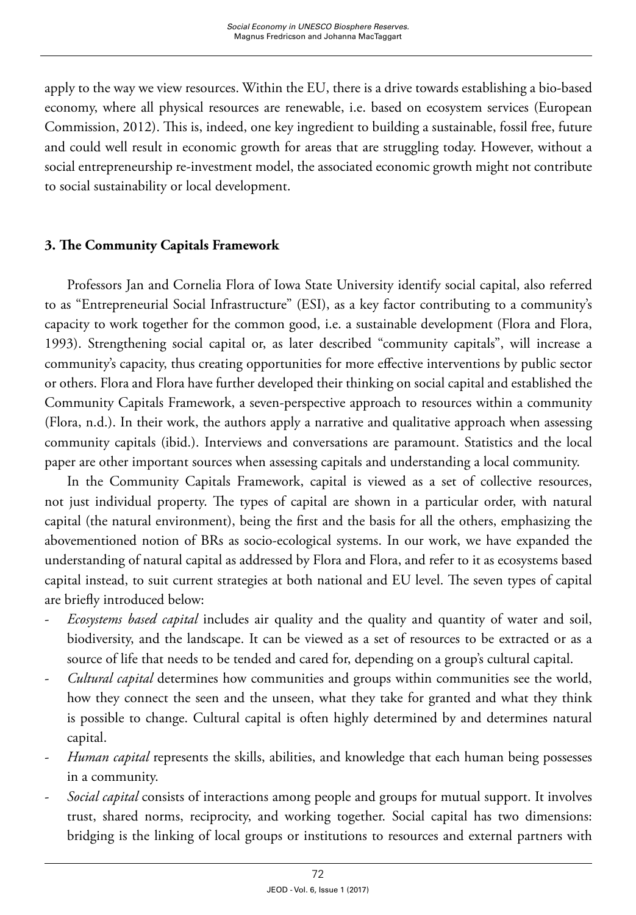apply to the way we view resources. Within the EU, there is a drive towards establishing a bio-based economy, where all physical resources are renewable, i.e. based on ecosystem services (European Commission, 2012). This is, indeed, one key ingredient to building a sustainable, fossil free, future and could well result in economic growth for areas that are struggling today. However, without a social entrepreneurship re-investment model, the associated economic growth might not contribute to social sustainability or local development.

# **3. The Community Capitals Framework**

Professors Jan and Cornelia Flora of Iowa State University identify social capital, also referred to as "Entrepreneurial Social Infrastructure" (ESI), as a key factor contributing to a community's capacity to work together for the common good, i.e. a sustainable development (Flora and Flora, 1993). Strengthening social capital or, as later described "community capitals", will increase a community's capacity, thus creating opportunities for more effective interventions by public sector or others. Flora and Flora have further developed their thinking on social capital and established the Community Capitals Framework, a seven-perspective approach to resources within a community (Flora, n.d.). In their work, the authors apply a narrative and qualitative approach when assessing community capitals (ibid.). Interviews and conversations are paramount. Statistics and the local paper are other important sources when assessing capitals and understanding a local community.

In the Community Capitals Framework, capital is viewed as a set of collective resources, not just individual property. The types of capital are shown in a particular order, with natural capital (the natural environment), being the first and the basis for all the others, emphasizing the abovementioned notion of BRs as socio-ecological systems. In our work, we have expanded the understanding of natural capital as addressed by Flora and Flora, and refer to it as ecosystems based capital instead, to suit current strategies at both national and EU level. The seven types of capital are briefly introduced below:

- *Ecosystems based capital* includes air quality and the quality and quantity of water and soil, biodiversity, and the landscape. It can be viewed as a set of resources to be extracted or as a source of life that needs to be tended and cared for, depending on a group's cultural capital.
- *Cultural capital* determines how communities and groups within communities see the world, how they connect the seen and the unseen, what they take for granted and what they think is possible to change. Cultural capital is often highly determined by and determines natural capital.
- *Human capital* represents the skills, abilities, and knowledge that each human being possesses in a community.
- *Social capital* consists of interactions among people and groups for mutual support. It involves trust, shared norms, reciprocity, and working together. Social capital has two dimensions: bridging is the linking of local groups or institutions to resources and external partners with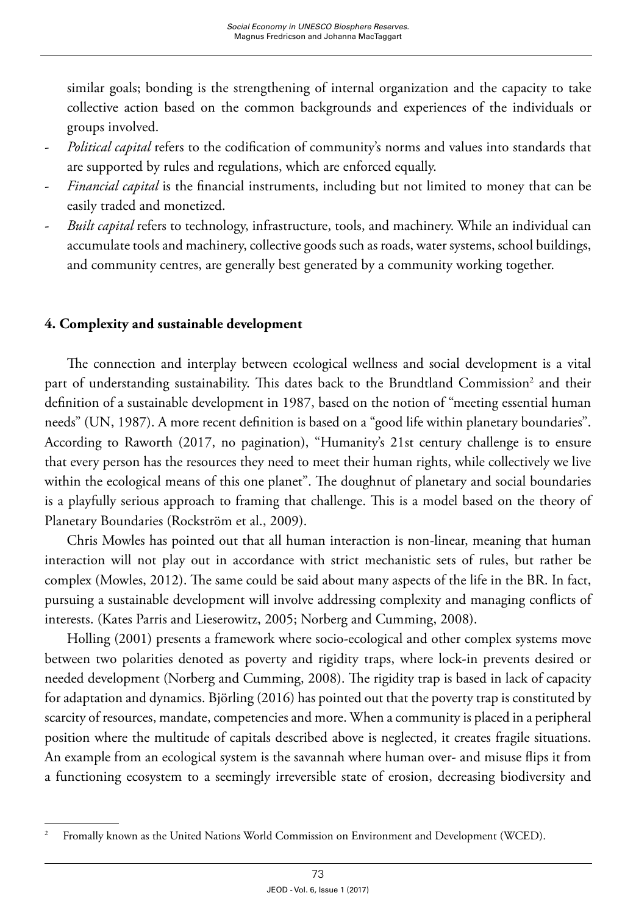similar goals; bonding is the strengthening of internal organization and the capacity to take collective action based on the common backgrounds and experiences of the individuals or groups involved.

- *Political capital* refers to the codification of community's norms and values into standards that are supported by rules and regulations, which are enforced equally.
- *Financial capital* is the financial instruments, including but not limited to money that can be easily traded and monetized.
- *Built capital* refers to technology, infrastructure, tools, and machinery. While an individual can accumulate tools and machinery, collective goods such as roads, water systems, school buildings, and community centres, are generally best generated by a community working together.

## **4. Complexity and sustainable development**

The connection and interplay between ecological wellness and social development is a vital part of understanding sustainability. This dates back to the Brundtland Commission<sup>2</sup> and their definition of a sustainable development in 1987, based on the notion of "meeting essential human needs" (UN, 1987). A more recent definition is based on a "good life within planetary boundaries". According to Raworth (2017, no pagination), "Humanity's 21st century challenge is to ensure that every person has the resources they need to meet their human rights, while collectively we live within the ecological means of this one planet". The doughnut of planetary and social boundaries is a playfully serious approach to framing that challenge. This is a model based on the theory of Planetary Boundaries (Rockström et al., 2009).

Chris Mowles has pointed out that all human interaction is non-linear, meaning that human interaction will not play out in accordance with strict mechanistic sets of rules, but rather be complex (Mowles, 2012). The same could be said about many aspects of the life in the BR. In fact, pursuing a sustainable development will involve addressing complexity and managing conflicts of interests. (Kates Parris and Lieserowitz, 2005; Norberg and Cumming, 2008).

Holling (2001) presents a framework where socio-ecological and other complex systems move between two polarities denoted as poverty and rigidity traps, where lock-in prevents desired or needed development (Norberg and Cumming, 2008). The rigidity trap is based in lack of capacity for adaptation and dynamics. Björling (2016) has pointed out that the poverty trap is constituted by scarcity of resources, mandate, competencies and more. When a community is placed in a peripheral position where the multitude of capitals described above is neglected, it creates fragile situations. An example from an ecological system is the savannah where human over- and misuse flips it from a functioning ecosystem to a seemingly irreversible state of erosion, decreasing biodiversity and

<sup>&</sup>lt;sup>2</sup> Fromally known as the United Nations World Commission on Environment and Development (WCED).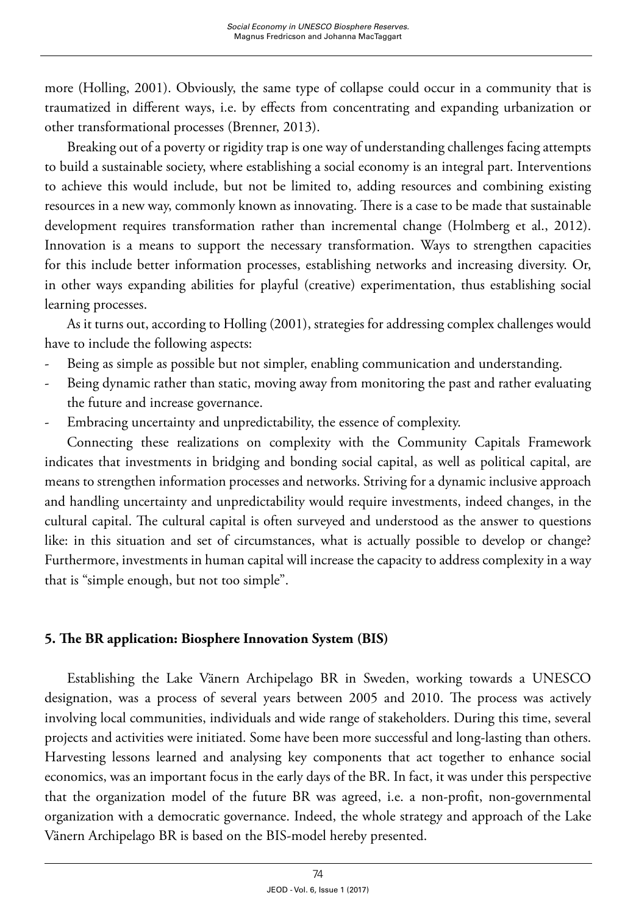more (Holling, 2001). Obviously, the same type of collapse could occur in a community that is traumatized in different ways, i.e. by effects from concentrating and expanding urbanization or other transformational processes (Brenner, 2013).

Breaking out of a poverty or rigidity trap is one way of understanding challenges facing attempts to build a sustainable society, where establishing a social economy is an integral part. Interventions to achieve this would include, but not be limited to, adding resources and combining existing resources in a new way, commonly known as innovating. There is a case to be made that sustainable development requires transformation rather than incremental change (Holmberg et al., 2012). Innovation is a means to support the necessary transformation. Ways to strengthen capacities for this include better information processes, establishing networks and increasing diversity. Or, in other ways expanding abilities for playful (creative) experimentation, thus establishing social learning processes.

As it turns out, according to Holling (2001), strategies for addressing complex challenges would have to include the following aspects:

- Being as simple as possible but not simpler, enabling communication and understanding.
- Being dynamic rather than static, moving away from monitoring the past and rather evaluating the future and increase governance.
- Embracing uncertainty and unpredictability, the essence of complexity.

Connecting these realizations on complexity with the Community Capitals Framework indicates that investments in bridging and bonding social capital, as well as political capital, are means to strengthen information processes and networks. Striving for a dynamic inclusive approach and handling uncertainty and unpredictability would require investments, indeed changes, in the cultural capital. The cultural capital is often surveyed and understood as the answer to questions like: in this situation and set of circumstances, what is actually possible to develop or change? Furthermore, investments in human capital will increase the capacity to address complexity in a way that is "simple enough, but not too simple".

## **5. The BR application: Biosphere Innovation System (BIS)**

Establishing the Lake Vänern Archipelago BR in Sweden, working towards a UNESCO designation, was a process of several years between 2005 and 2010. The process was actively involving local communities, individuals and wide range of stakeholders. During this time, several projects and activities were initiated. Some have been more successful and long-lasting than others. Harvesting lessons learned and analysing key components that act together to enhance social economics, was an important focus in the early days of the BR. In fact, it was under this perspective that the organization model of the future BR was agreed, i.e. a non-profit, non-governmental organization with a democratic governance. Indeed, the whole strategy and approach of the Lake Vänern Archipelago BR is based on the BIS-model hereby presented.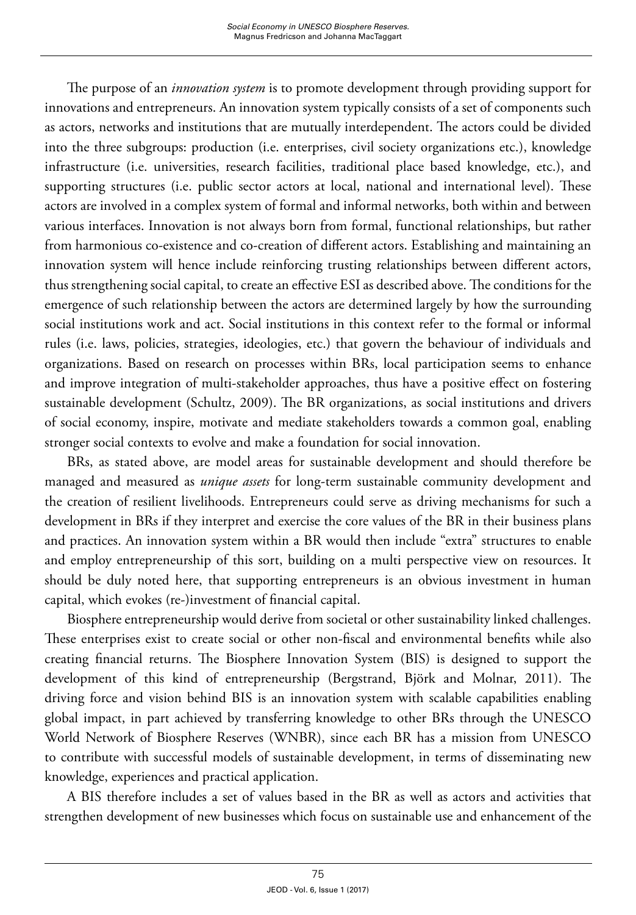The purpose of an *innovation system* is to promote development through providing support for innovations and entrepreneurs. An innovation system typically consists of a set of components such as actors, networks and institutions that are mutually interdependent. The actors could be divided into the three subgroups: production (i.e. enterprises, civil society organizations etc.), knowledge infrastructure (i.e. universities, research facilities, traditional place based knowledge, etc.), and supporting structures (i.e. public sector actors at local, national and international level). These actors are involved in a complex system of formal and informal networks, both within and between various interfaces. Innovation is not always born from formal, functional relationships, but rather from harmonious co-existence and co-creation of different actors. Establishing and maintaining an innovation system will hence include reinforcing trusting relationships between different actors, thus strengthening social capital, to create an effective ESI as described above. The conditions for the emergence of such relationship between the actors are determined largely by how the surrounding social institutions work and act. Social institutions in this context refer to the formal or informal rules (i.e. laws, policies, strategies, ideologies, etc.) that govern the behaviour of individuals and organizations. Based on research on processes within BRs, local participation seems to enhance and improve integration of multi-stakeholder approaches, thus have a positive effect on fostering sustainable development (Schultz, 2009). The BR organizations, as social institutions and drivers of social economy, inspire, motivate and mediate stakeholders towards a common goal, enabling stronger social contexts to evolve and make a foundation for social innovation.

BRs, as stated above, are model areas for sustainable development and should therefore be managed and measured as *unique assets* for long-term sustainable community development and the creation of resilient livelihoods. Entrepreneurs could serve as driving mechanisms for such a development in BRs if they interpret and exercise the core values of the BR in their business plans and practices. An innovation system within a BR would then include "extra" structures to enable and employ entrepreneurship of this sort, building on a multi perspective view on resources. It should be duly noted here, that supporting entrepreneurs is an obvious investment in human capital, which evokes (re-)investment of financial capital.

Biosphere entrepreneurship would derive from societal or other sustainability linked challenges. These enterprises exist to create social or other non-fiscal and environmental benefits while also creating financial returns. The Biosphere Innovation System (BIS) is designed to support the development of this kind of entrepreneurship (Bergstrand, Björk and Molnar, 2011). The driving force and vision behind BIS is an innovation system with scalable capabilities enabling global impact, in part achieved by transferring knowledge to other BRs through the UNESCO World Network of Biosphere Reserves (WNBR), since each BR has a mission from UNESCO to contribute with successful models of sustainable development, in terms of disseminating new knowledge, experiences and practical application.

A BIS therefore includes a set of values based in the BR as well as actors and activities that strengthen development of new businesses which focus on sustainable use and enhancement of the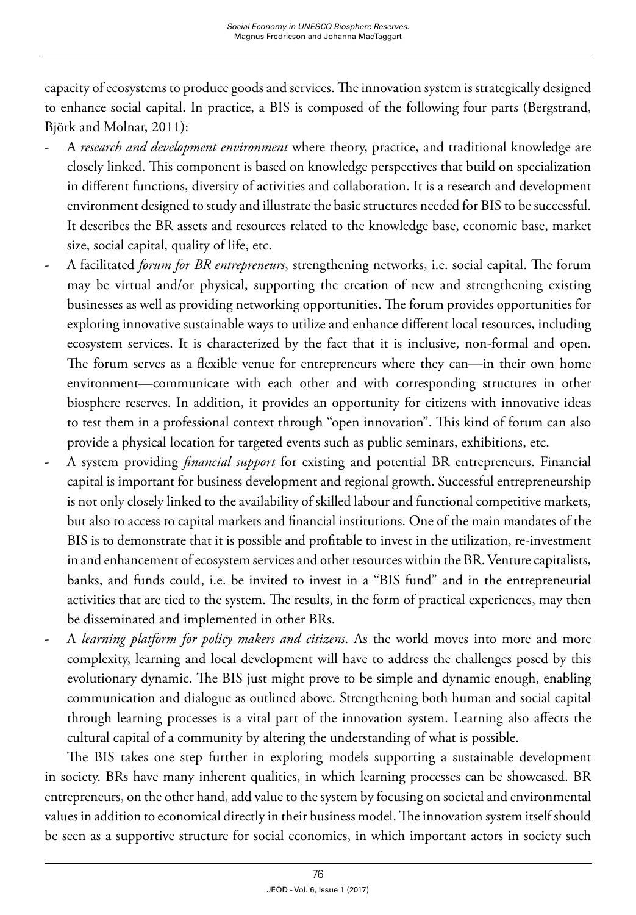capacity of ecosystems to produce goods and services. The innovation system is strategically designed to enhance social capital. In practice, a BIS is composed of the following four parts (Bergstrand, Björk and Molnar, 2011):

- A *research and development environment* where theory, practice, and traditional knowledge are closely linked. This component is based on knowledge perspectives that build on specialization in different functions, diversity of activities and collaboration. It is a research and development environment designed to study and illustrate the basic structures needed for BIS to be successful. It describes the BR assets and resources related to the knowledge base, economic base, market size, social capital, quality of life, etc.
- A facilitated *forum for BR entrepreneurs*, strengthening networks, i.e. social capital. The forum may be virtual and/or physical, supporting the creation of new and strengthening existing businesses as well as providing networking opportunities. The forum provides opportunities for exploring innovative sustainable ways to utilize and enhance different local resources, including ecosystem services. It is characterized by the fact that it is inclusive, non-formal and open. The forum serves as a flexible venue for entrepreneurs where they can—in their own home environment—communicate with each other and with corresponding structures in other biosphere reserves. In addition, it provides an opportunity for citizens with innovative ideas to test them in a professional context through "open innovation". This kind of forum can also provide a physical location for targeted events such as public seminars, exhibitions, etc.
- A system providing *financial support* for existing and potential BR entrepreneurs. Financial capital is important for business development and regional growth. Successful entrepreneurship is not only closely linked to the availability of skilled labour and functional competitive markets, but also to access to capital markets and financial institutions. One of the main mandates of the BIS is to demonstrate that it is possible and profitable to invest in the utilization, re-investment in and enhancement of ecosystem services and other resources within the BR. Venture capitalists, banks, and funds could, i.e. be invited to invest in a "BIS fund" and in the entrepreneurial activities that are tied to the system. The results, in the form of practical experiences, may then be disseminated and implemented in other BRs.
- A *learning platform for policy makers and citizens*. As the world moves into more and more complexity, learning and local development will have to address the challenges posed by this evolutionary dynamic. The BIS just might prove to be simple and dynamic enough, enabling communication and dialogue as outlined above. Strengthening both human and social capital through learning processes is a vital part of the innovation system. Learning also affects the cultural capital of a community by altering the understanding of what is possible.

The BIS takes one step further in exploring models supporting a sustainable development in society. BRs have many inherent qualities, in which learning processes can be showcased. BR entrepreneurs, on the other hand, add value to the system by focusing on societal and environmental values in addition to economical directly in their business model. The innovation system itself should be seen as a supportive structure for social economics, in which important actors in society such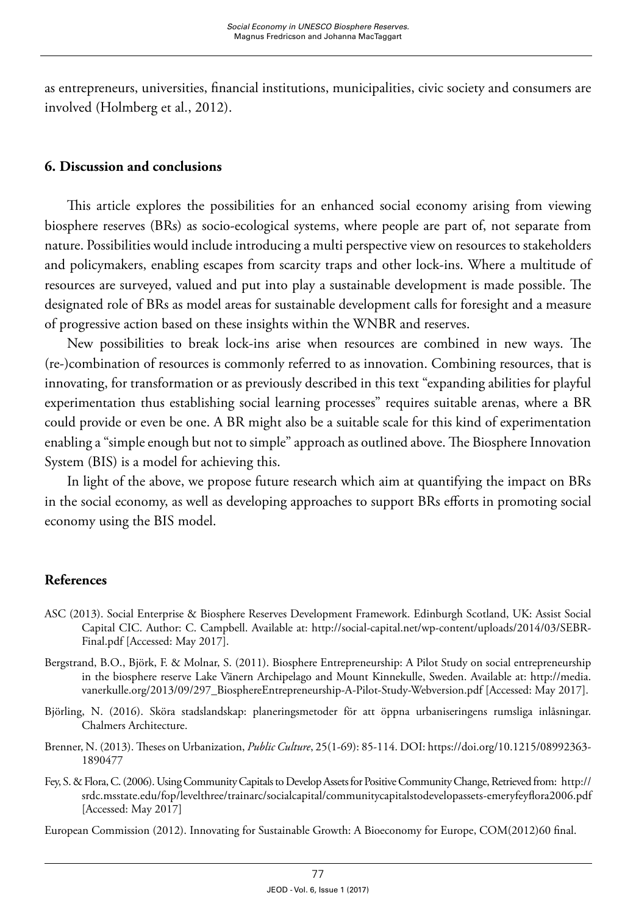as entrepreneurs, universities, financial institutions, municipalities, civic society and consumers are involved (Holmberg et al., 2012).

#### **6. Discussion and conclusions**

This article explores the possibilities for an enhanced social economy arising from viewing biosphere reserves (BRs) as socio-ecological systems, where people are part of, not separate from nature. Possibilities would include introducing a multi perspective view on resources to stakeholders and policymakers, enabling escapes from scarcity traps and other lock-ins. Where a multitude of resources are surveyed, valued and put into play a sustainable development is made possible. The designated role of BRs as model areas for sustainable development calls for foresight and a measure of progressive action based on these insights within the WNBR and reserves.

New possibilities to break lock-ins arise when resources are combined in new ways. The (re-)combination of resources is commonly referred to as innovation. Combining resources, that is innovating, for transformation or as previously described in this text "expanding abilities for playful experimentation thus establishing social learning processes" requires suitable arenas, where a BR could provide or even be one. A BR might also be a suitable scale for this kind of experimentation enabling a "simple enough but not to simple" approach as outlined above. The Biosphere Innovation System (BIS) is a model for achieving this.

In light of the above, we propose future research which aim at quantifying the impact on BRs in the social economy, as well as developing approaches to support BRs efforts in promoting social economy using the BIS model.

## **References**

- ASC (2013). Social Enterprise & Biosphere Reserves Development Framework. Edinburgh Scotland, UK: Assist Social Capital CIC. Author: C. Campbell. Available at: [http://social-capital.net/wp-content/uploads/2014/03/SEBR-](http://social-capital.net/wp-content/uploads/2014/03/SEBR-Final.pdf)[Final.pdf](http://social-capital.net/wp-content/uploads/2014/03/SEBR-Final.pdf) [Accessed: May 2017].
- Bergstrand, B.O., Björk, F. & Molnar, S. (2011). Biosphere Entrepreneurship: A Pilot Study on social entrepreneurship in the biosphere reserve Lake Vänern Archipelago and Mount Kinnekulle, Sweden. Available at: [http://media.](http://media.vanerkulle.org/2013/09/297_BiosphereEntrepreneurship-A-Pilot-Study-Webversion.pdf) [vanerkulle.org/2013/09/297\\_BiosphereEntrepreneurship-A-Pilot-Study-Webversion.pdf](http://media.vanerkulle.org/2013/09/297_BiosphereEntrepreneurship-A-Pilot-Study-Webversion.pdf) [Accessed: May 2017].
- Björling, N. (2016). Sköra stadslandskap: planeringsmetoder för att öppna urbaniseringens rumsliga inlåsningar. Chalmers Architecture.
- Brenner, N. (2013). Theses on Urbanization, *Public Culture*, 25(1-69): 85-114. DOI: https://doi.org/10.1215/08992363- 1890477
- Fey, S. & Flora, C. (2006). Using Community Capitals to Develop Assets for Positive Community Change, Retrieved from: http:// srdc.msstate.edu/fop/levelthree/trainarc/socialcapital/communitycapitalstodevelopassets-emeryfeyflora2006.pdf [Accessed: May 2017]
- European Commission (2012). Innovating for Sustainable Growth: A Bioeconomy for Europe, COM(2012)60 final.